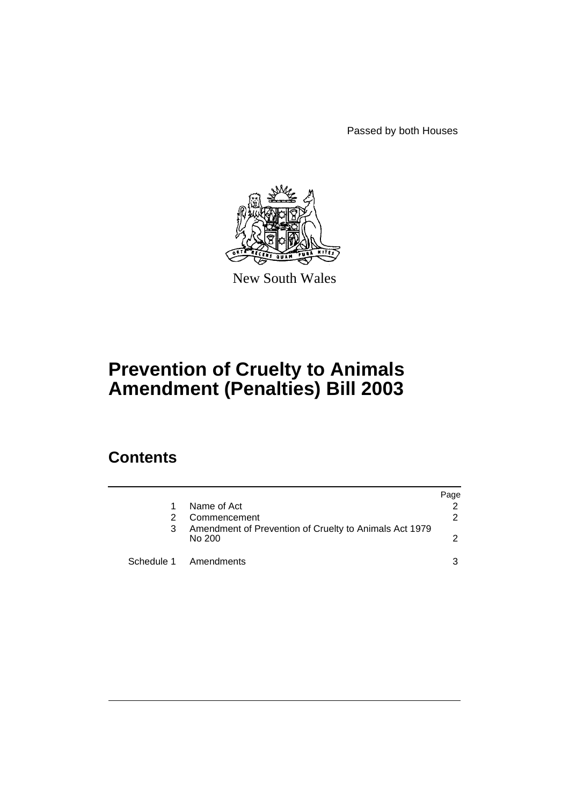Passed by both Houses



New South Wales

# **Prevention of Cruelty to Animals Amendment (Penalties) Bill 2003**

# **Contents**

|   |                                                                  | Page |
|---|------------------------------------------------------------------|------|
|   | Name of Act                                                      |      |
|   | Commencement                                                     | 2    |
| 3 | Amendment of Prevention of Cruelty to Animals Act 1979<br>No 200 |      |
|   | Schedule 1 Amendments                                            | 3    |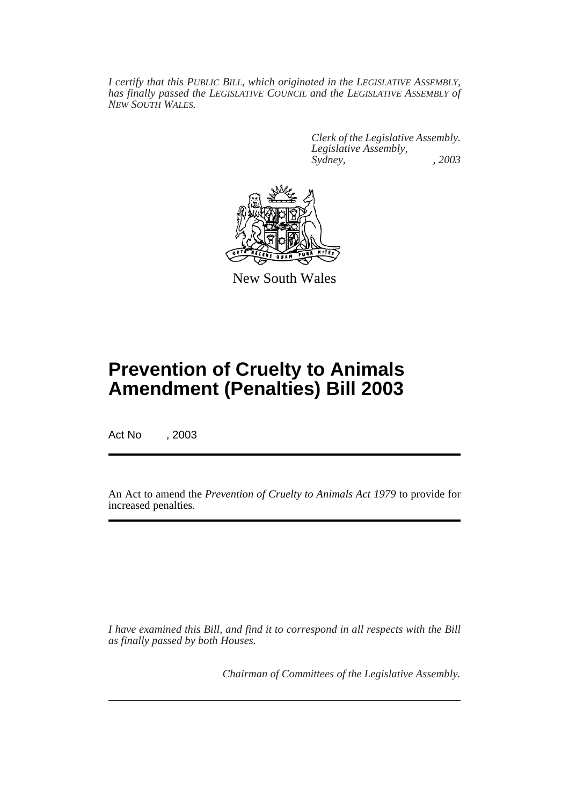*I certify that this PUBLIC BILL, which originated in the LEGISLATIVE ASSEMBLY, has finally passed the LEGISLATIVE COUNCIL and the LEGISLATIVE ASSEMBLY of NEW SOUTH WALES.*

> *Clerk of the Legislative Assembly. Legislative Assembly, Sydney, , 2003*



New South Wales

# **Prevention of Cruelty to Animals Amendment (Penalties) Bill 2003**

Act No , 2003

An Act to amend the *Prevention of Cruelty to Animals Act 1979* to provide for increased penalties.

*I have examined this Bill, and find it to correspond in all respects with the Bill as finally passed by both Houses.*

*Chairman of Committees of the Legislative Assembly.*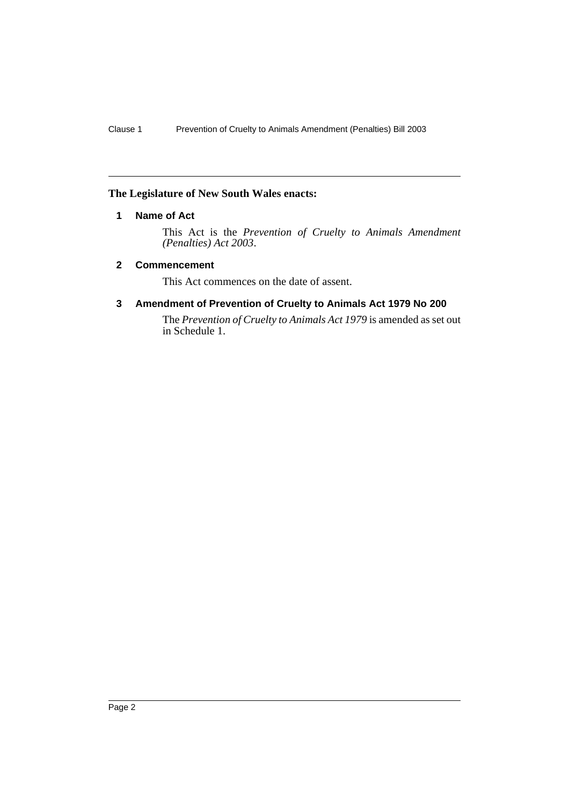#### **The Legislature of New South Wales enacts:**

### **1 Name of Act**

This Act is the *Prevention of Cruelty to Animals Amendment (Penalties) Act 2003*.

#### **2 Commencement**

This Act commences on the date of assent.

#### **3 Amendment of Prevention of Cruelty to Animals Act 1979 No 200**

The *Prevention of Cruelty to Animals Act 1979* is amended as set out in Schedule 1.